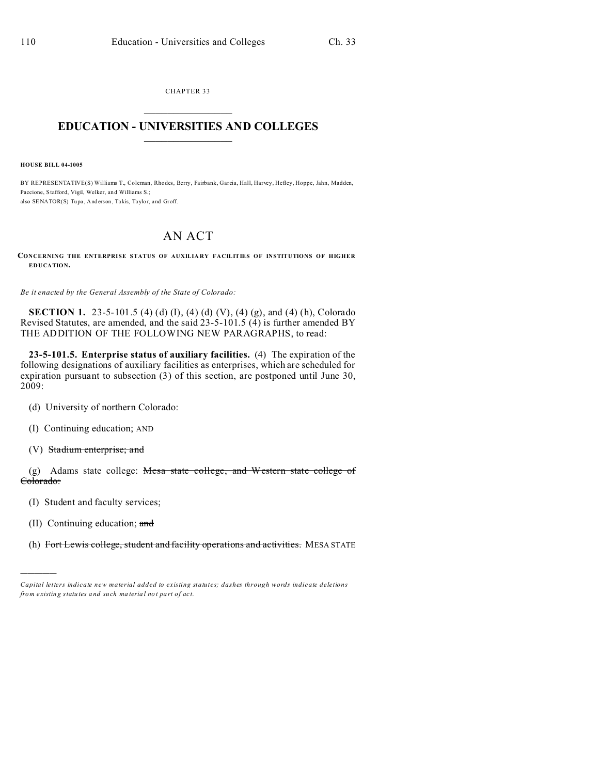CHAPTER 33  $\overline{\phantom{a}}$  , where  $\overline{\phantom{a}}$ 

## **EDUCATION - UNIVERSITIES AND COLLEGES**  $\frac{1}{2}$

**HOUSE BILL 04-1005**

BY REPRESENTATIVE(S) Williams T., Coleman, Rhodes, Berry, Fairbank, Garcia, Hall, Harvey, Hefley, Hoppe, Jahn, Madden, Paccione, Stafford, Vigil, Welker, and Williams S.; also SENATOR(S) Tupa, And erson, Takis, Taylor, and Groff.

## AN ACT

**CONCERNING THE ENTERPRISE STATUS OF AUXILIARY FACILITIES OF INSTITUTIONS OF HIGHER EDUCATION.**

*Be it enacted by the General Assembly of the State of Colorado:*

**SECTION 1.** 23-5-101.5 (4) (d) (I), (4) (d) (V), (4) (g), and (4) (h), Colorado Revised Statutes, are amended, and the said 23-5-101.5 (4) is further amended BY THE ADDITION OF THE FOLLOWING NEW PARAGRAPHS, to read:

**23-5-101.5. Enterprise status of auxiliary facilities.** (4) The expiration of the following designations of auxiliary facilities as enterprises, which are scheduled for expiration pursuant to subsection (3) of this section, are postponed until June 30, 2009:

- (d) University of northern Colorado:
- (I) Continuing education; AND
- (V) Stadium enterprise; and

(g) Adams state college: Mesa state college, and Western state college of Colorado:

- (I) Student and faculty services;
- (II) Continuing education; and

)))))

(h) Fort Lewis college, student and facility operations and activities. MESA STATE

*Capital letters indicate new material added to existing statutes; dashes through words indicate deletions from e xistin g statu tes a nd such ma teria l no t pa rt of ac t.*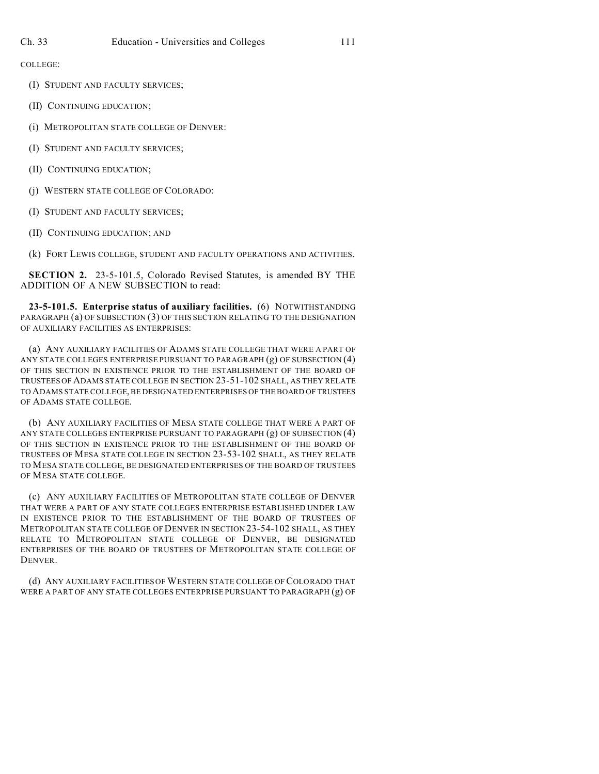COLLEGE:

- (I) STUDENT AND FACULTY SERVICES;
- (II) CONTINUING EDUCATION;
- (i) METROPOLITAN STATE COLLEGE OF DENVER:
- (I) STUDENT AND FACULTY SERVICES;
- (II) CONTINUING EDUCATION;
- (j) WESTERN STATE COLLEGE OF COLORADO:
- (I) STUDENT AND FACULTY SERVICES;
- (II) CONTINUING EDUCATION; AND

(k) FORT LEWIS COLLEGE, STUDENT AND FACULTY OPERATIONS AND ACTIVITIES.

**SECTION 2.** 23-5-101.5, Colorado Revised Statutes, is amended BY THE ADDITION OF A NEW SUBSECTION to read:

**23-5-101.5. Enterprise status of auxiliary facilities.** (6) NOTWITHSTANDING PARAGRAPH (a) OF SUBSECTION (3) OF THIS SECTION RELATING TO THE DESIGNATION OF AUXILIARY FACILITIES AS ENTERPRISES:

(a) ANY AUXILIARY FACILITIES OF ADAMS STATE COLLEGE THAT WERE A PART OF ANY STATE COLLEGES ENTERPRISE PURSUANT TO PARAGRAPH (g) OF SUBSECTION (4) OF THIS SECTION IN EXISTENCE PRIOR TO THE ESTABLISHMENT OF THE BOARD OF TRUSTEES OF ADAMS STATE COLLEGE IN SECTION 23-51-102 SHALL, AS THEY RELATE TO ADAMS STATE COLLEGE, BE DESIGNATED ENTERPRISES OF THE BOARD OF TRUSTEES OF ADAMS STATE COLLEGE.

(b) ANY AUXILIARY FACILITIES OF MESA STATE COLLEGE THAT WERE A PART OF ANY STATE COLLEGES ENTERPRISE PURSUANT TO PARAGRAPH (g) OF SUBSECTION (4) OF THIS SECTION IN EXISTENCE PRIOR TO THE ESTABLISHMENT OF THE BOARD OF TRUSTEES OF MESA STATE COLLEGE IN SECTION 23-53-102 SHALL, AS THEY RELATE TO MESA STATE COLLEGE, BE DESIGNATED ENTERPRISES OF THE BOARD OF TRUSTEES OF MESA STATE COLLEGE.

(c) ANY AUXILIARY FACILITIES OF METROPOLITAN STATE COLLEGE OF DENVER THAT WERE A PART OF ANY STATE COLLEGES ENTERPRISE ESTABLISHED UNDER LAW IN EXISTENCE PRIOR TO THE ESTABLISHMENT OF THE BOARD OF TRUSTEES OF METROPOLITAN STATE COLLEGE OF DENVER IN SECTION 23-54-102 SHALL, AS THEY RELATE TO METROPOLITAN STATE COLLEGE OF DENVER, BE DESIGNATED ENTERPRISES OF THE BOARD OF TRUSTEES OF METROPOLITAN STATE COLLEGE OF DENVER.

(d) ANY AUXILIARY FACILITIES OF WESTERN STATE COLLEGE OF COLORADO THAT WERE A PART OF ANY STATE COLLEGES ENTERPRISE PURSUANT TO PARAGRAPH (g) OF